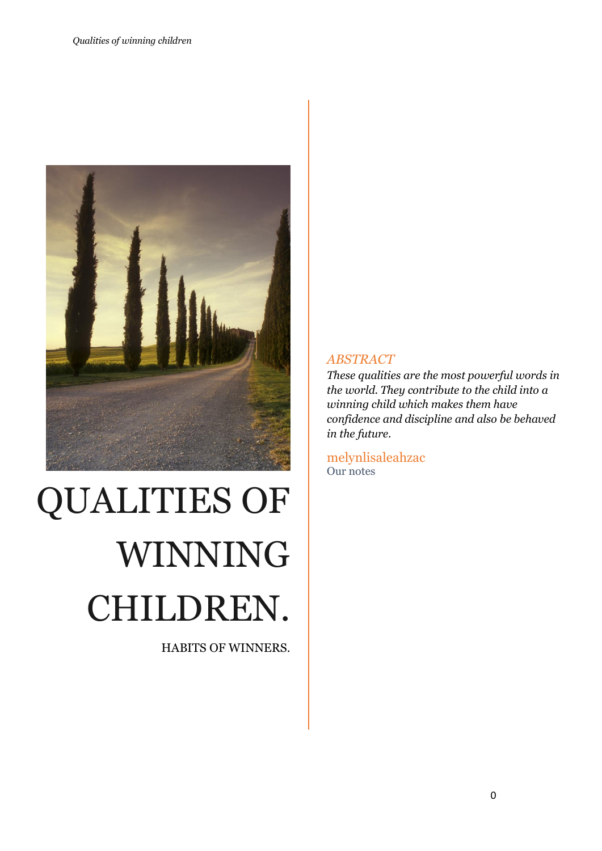

# QUALITIES OF WINNING CHILDREN.

HABITS OF WINNERS.

#### *ABSTRACT*

*These qualities are the most powerful words in the world. They contribute to the child into a winning child which makes them have confidence and discipline and also be behaved in the future.*

melynlisaleahzac Our notes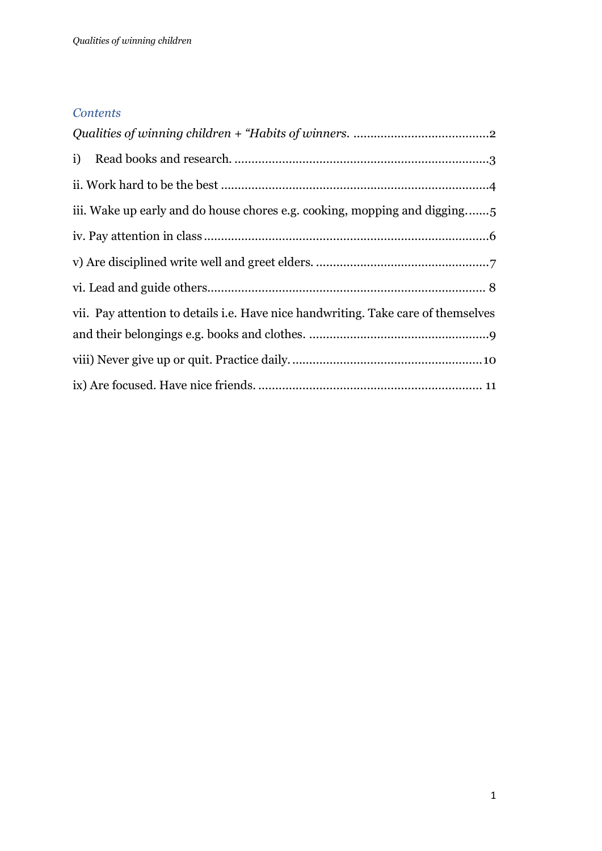#### *Contents*

| iii. Wake up early and do house chores e.g. cooking, mopping and digging          |
|-----------------------------------------------------------------------------------|
|                                                                                   |
|                                                                                   |
|                                                                                   |
| vii. Pay attention to details i.e. Have nice handwriting. Take care of themselves |
|                                                                                   |
|                                                                                   |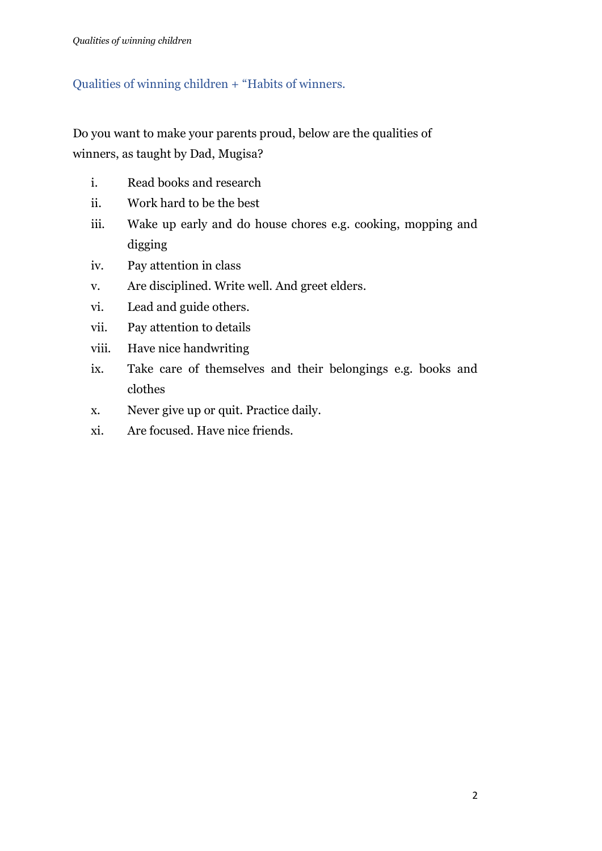# <span id="page-2-0"></span>Qualities of winning children + "Habits of winners.

Do you want to make your parents proud, below are the qualities of winners, as taught by Dad, Mugisa?

- i. Read books and research
- ii. Work hard to be the best
- iii. Wake up early and do house chores e.g. cooking, mopping and digging
- iv. Pay attention in class
- v. Are disciplined. Write well. And greet elders.
- vi. Lead and guide others.
- vii. Pay attention to details
- viii. Have nice handwriting
- ix. Take care of themselves and their belongings e.g. books and clothes
- x. Never give up or quit. Practice daily.
- xi. Are focused. Have nice friends.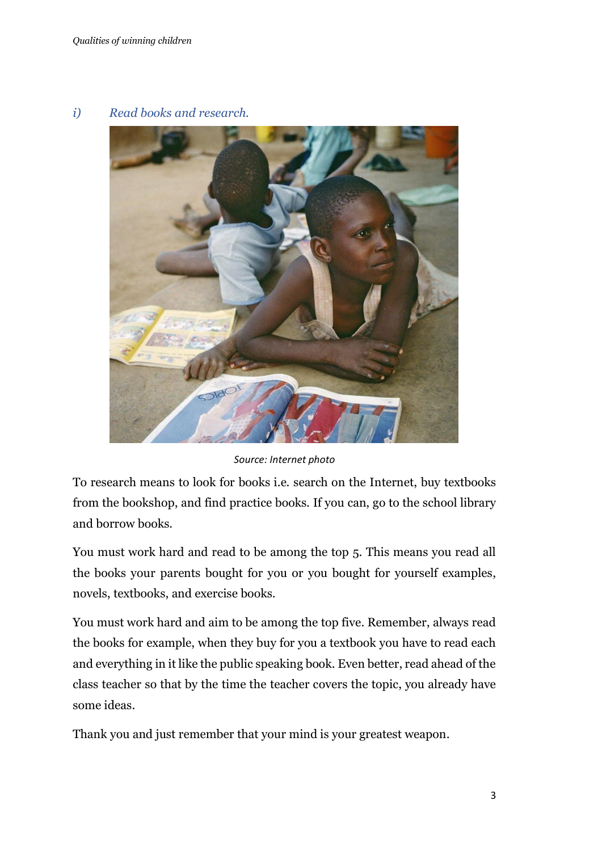#### <span id="page-3-0"></span>*i) Read books and research.*



*Source: Internet photo*

To research means to look for books i.e. search on the Internet, buy textbooks from the bookshop, and find practice books. If you can, go to the school library and borrow books.

You must work hard and read to be among the top 5. This means you read all the books your parents bought for you or you bought for yourself examples, novels, textbooks, and exercise books.

You must work hard and aim to be among the top five. Remember, always read the books for example, when they buy for you a textbook you have to read each and everything in it like the public speaking book. Even better, read ahead of the class teacher so that by the time the teacher covers the topic, you already have some ideas.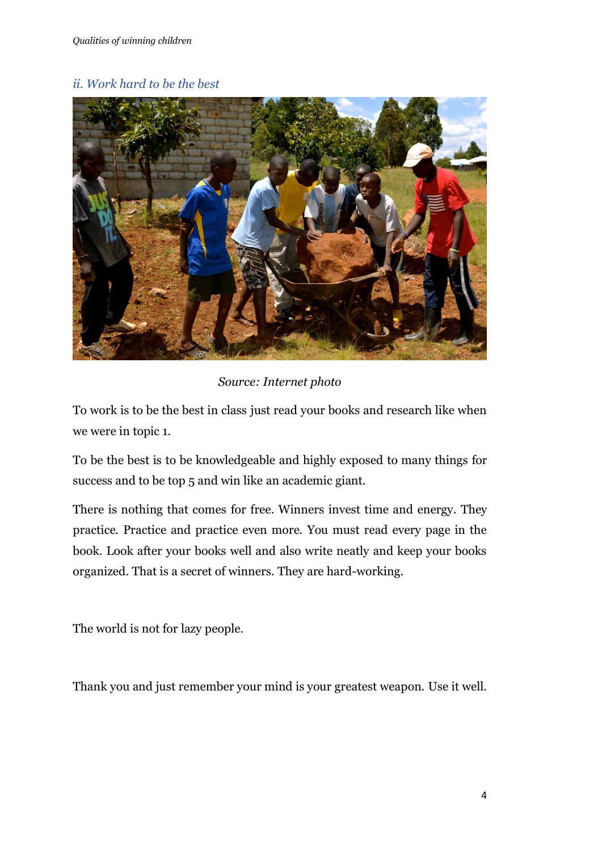#### <span id="page-4-0"></span>*ii. Work hard to be the best*



#### *Source: Internet photo*

To work is to be the best in class just read your books and research like when we were in topic 1.

To be the best is to be knowledgeable and highly exposed to many things for success and to be top 5 and win like an academic giant.

There is nothing that comes for free. Winners invest time and energy. They practice. Practice and practice even more. You must read every page in the book. Look after your books well and also write neatly and keep your books organized. That is a secret of winners. They are hard-working.

The world is not for lazy people.

Thank you and just remember your mind is your greatest weapon. Use it well.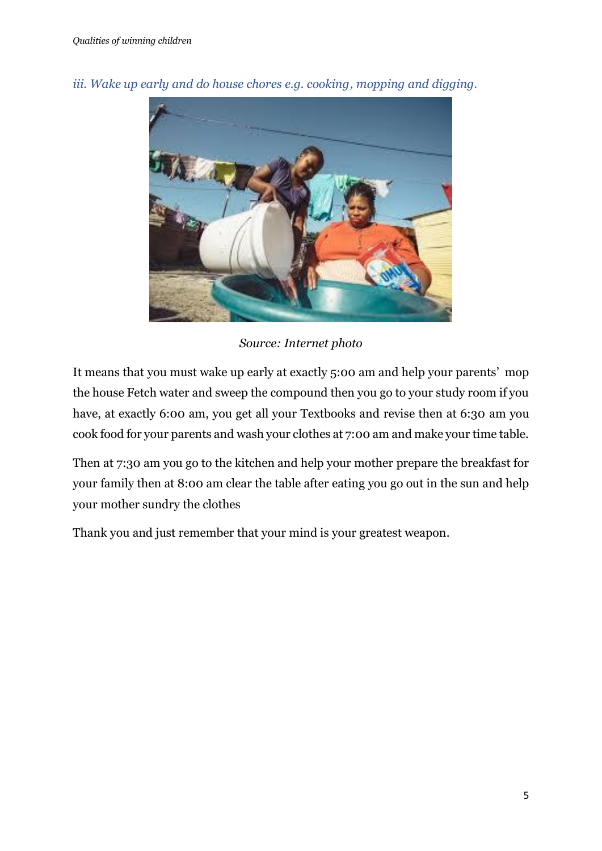

<span id="page-5-0"></span>*iii. Wake up early and do house chores e.g. cooking, mopping and digging.*

*Source: Internet photo*

It means that you must wake up early at exactly 5:00 am and help your parents' mop the house Fetch water and sweep the compound then you go to your study room if you have, at exactly 6:00 am, you get all your Textbooks and revise then at 6:30 am you cook food for your parents and wash your clothes at 7:00 am and make your time table.

Then at 7:30 am you go to the kitchen and help your mother prepare the breakfast for your family then at 8:00 am clear the table after eating you go out in the sun and help your mother sundry the clothes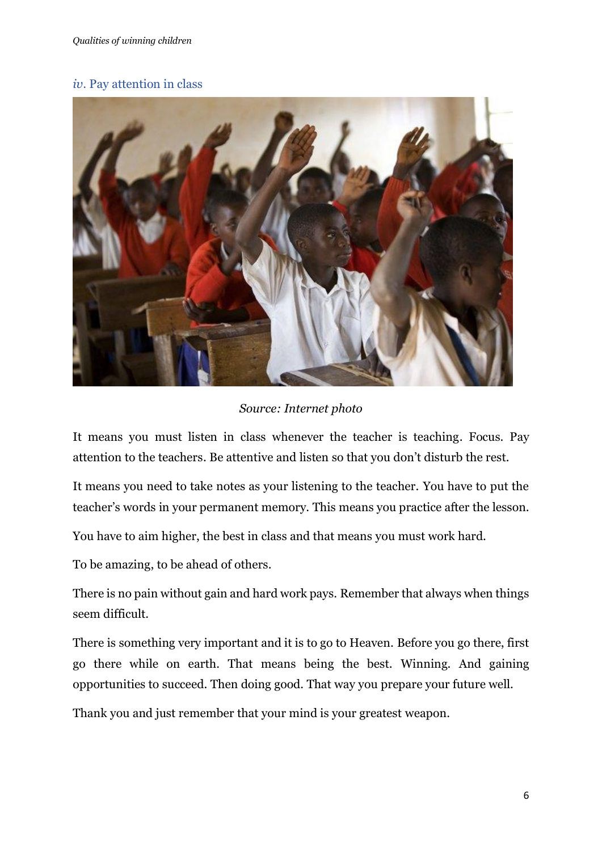#### <span id="page-6-0"></span>*iv*. Pay attention in class



*Source: Internet photo*

It means you must listen in class whenever the teacher is teaching. Focus. Pay attention to the teachers. Be attentive and listen so that you don't disturb the rest.

It means you need to take notes as your listening to the teacher. You have to put the teacher's words in your permanent memory. This means you practice after the lesson.

You have to aim higher, the best in class and that means you must work hard.

To be amazing, to be ahead of others.

There is no pain without gain and hard work pays. Remember that always when things seem difficult.

There is something very important and it is to go to Heaven. Before you go there, first go there while on earth. That means being the best. Winning. And gaining opportunities to succeed. Then doing good. That way you prepare your future well.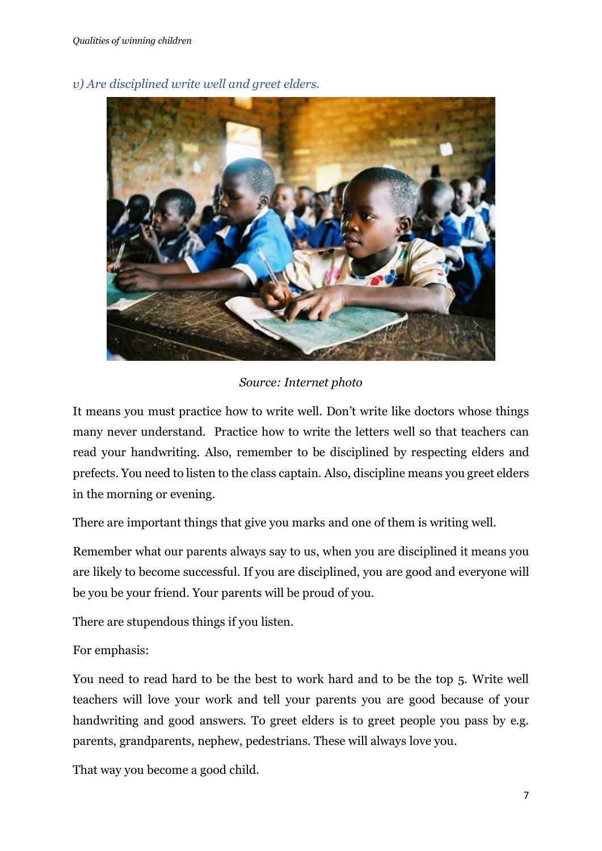<span id="page-7-0"></span>

*v) Are disciplined write well and greet elders.*

# *Source: Internet photo*

It means you must practice how to write well. Don't write like doctors whose things many never understand. Practice how to write the letters well so that teachers can read your handwriting. Also, remember to be disciplined by respecting elders and prefects. You need to listen to the class captain. Also, discipline means you greet elders in the morning or evening.

There are important things that give you marks and one of them is writing well.

Remember what our parents always say to us, when you are disciplined it means you are likely to become successful. If you are disciplined, you are good and everyone will be you be your friend. Your parents will be proud of you.

There are stupendous things if you listen.

For emphasis:

You need to read hard to be the best to work hard and to be the top 5. Write well teachers will love your work and tell your parents you are good because of your handwriting and good answers. To greet elders is to greet people you pass by e.g. parents, grandparents, nephew, pedestrians. These will always love you.

That way you become a good child.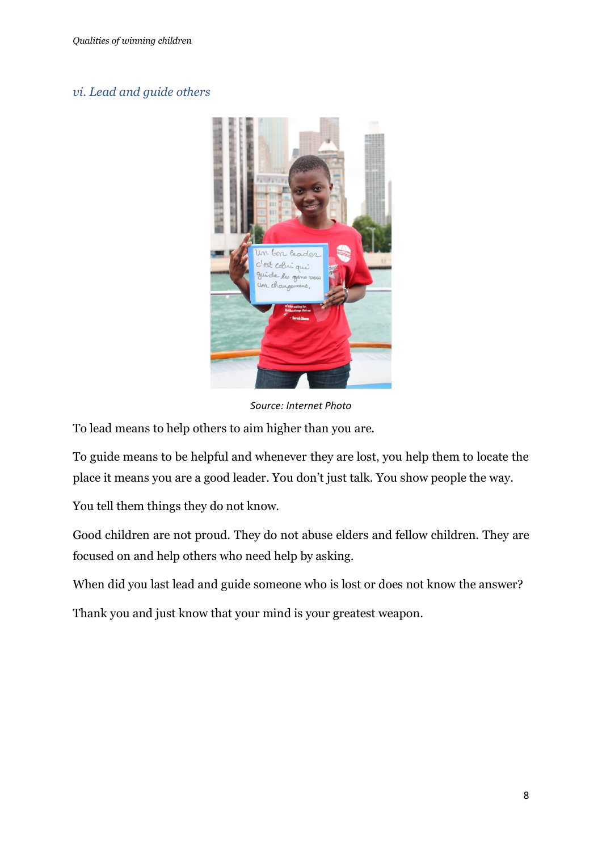#### <span id="page-8-0"></span>*vi. Lead and guide others*



*Source: Internet Photo*

To lead means to help others to aim higher than you are.

To guide means to be helpful and whenever they are lost, you help them to locate the place it means you are a good leader. You don't just talk. You show people the way.

You tell them things they do not know.

Good children are not proud. They do not abuse elders and fellow children. They are focused on and help others who need help by asking.

When did you last lead and guide someone who is lost or does not know the answer?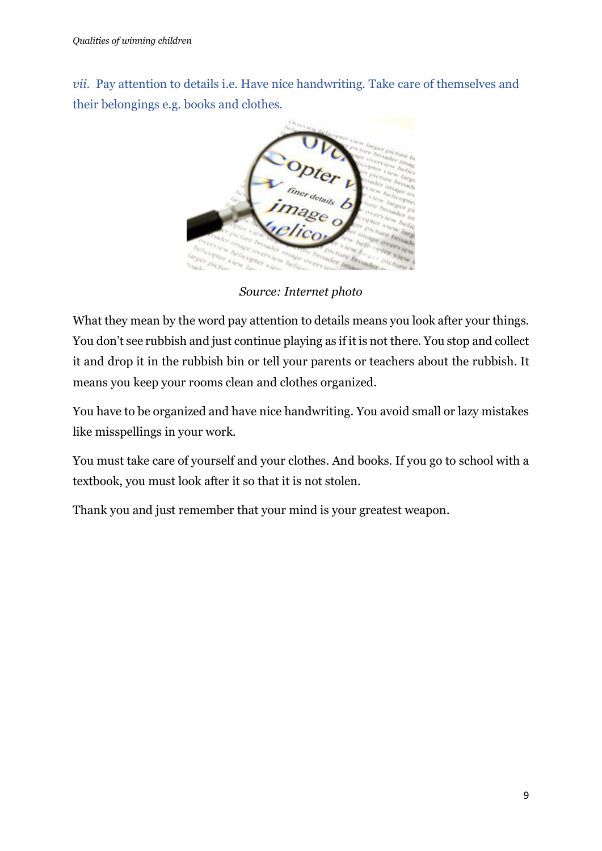<span id="page-9-0"></span>*vii*. Pay attention to details i.e. Have nice handwriting. Take care of themselves and their belongings e.g. books and clothes.



*Source: Internet photo*

What they mean by the word pay attention to details means you look after your things. You don't see rubbish and just continue playing as if it is not there. You stop and collect it and drop it in the rubbish bin or tell your parents or teachers about the rubbish. It means you keep your rooms clean and clothes organized.

You have to be organized and have nice handwriting. You avoid small or lazy mistakes like misspellings in your work.

You must take care of yourself and your clothes. And books. If you go to school with a textbook, you must look after it so that it is not stolen.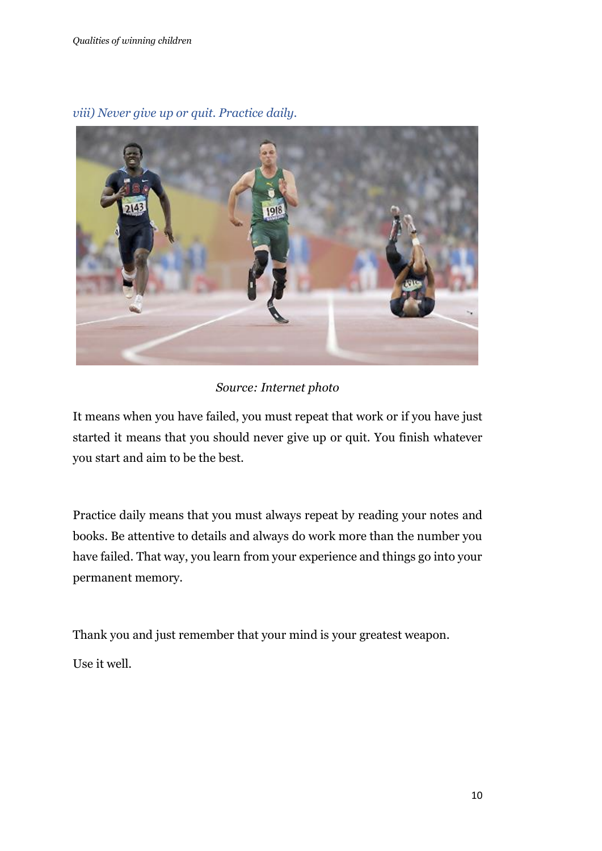

# <span id="page-10-0"></span>*viii) Never give up or quit. Practice daily.*

*Source: Internet photo*

It means when you have failed, you must repeat that work or if you have just started it means that you should never give up or quit. You finish whatever you start and aim to be the best.

Practice daily means that you must always repeat by reading your notes and books. Be attentive to details and always do work more than the number you have failed. That way, you learn from your experience and things go into your permanent memory.

Thank you and just remember that your mind is your greatest weapon.

Use it well.